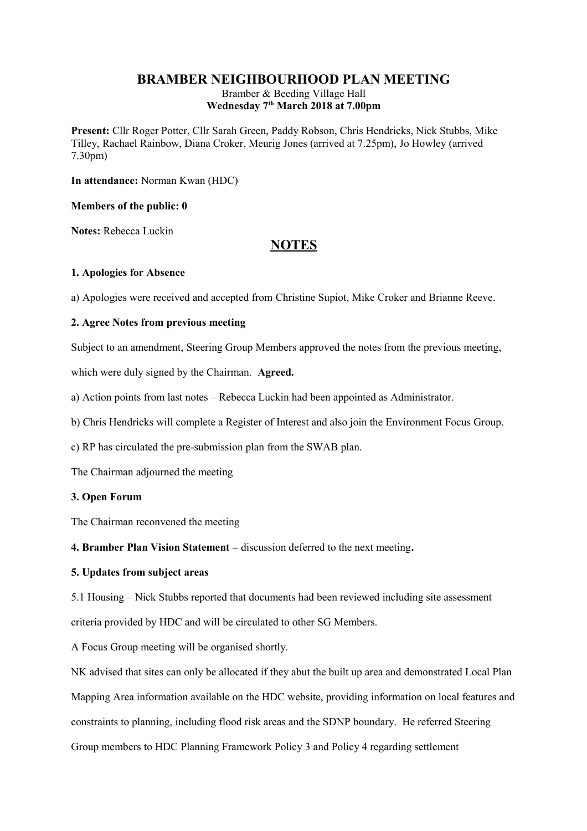## **BRAMBER NEIGHBOURHOOD PLAN MEETING**

Bramber & Beeding Village Hall **Wednesday 7th March 2018 at 7.00pm**

**Present:** Cllr Roger Potter, Cllr Sarah Green, Paddy Robson, Chris Hendricks, Nick Stubbs, Mike Tilley, Rachael Rainbow, Diana Croker, Meurig Jones (arrived at 7.25pm), Jo Howley (arrived 7.30pm)

**In attendance:** Norman Kwan (HDC)

### **Members of the public: 0**

**Notes:** Rebecca Luckin

# **NOTES**

#### **1. Apologies for Absence**

a) Apologies were received and accepted from Christine Supiot, Mike Croker and Brianne Reeve.

### **2. Agree Notes from previous meeting**

Subject to an amendment, Steering Group Members approved the notes from the previous meeting,

which were duly signed by the Chairman. **Agreed.** 

a) Action points from last notes – Rebecca Luckin had been appointed as Administrator.

b) Chris Hendricks will complete a Register of Interest and also join the Environment Focus Group.

c) RP has circulated the pre-submission plan from the SWAB plan.

The Chairman adjourned the meeting

#### **3. Open Forum**

The Chairman reconvened the meeting

**4. Bramber Plan Vision Statement –** discussion deferred to the next meeting**.** 

### **5. Updates from subject areas**

5.1 Housing – Nick Stubbs reported that documents had been reviewed including site assessment criteria provided by HDC and will be circulated to other SG Members.

A Focus Group meeting will be organised shortly.

NK advised that sites can only be allocated if they abut the built up area and demonstrated Local Plan Mapping Area information available on the HDC website, providing information on local features and constraints to planning, including flood risk areas and the SDNP boundary. He referred Steering Group members to HDC Planning Framework Policy 3 and Policy 4 regarding settlement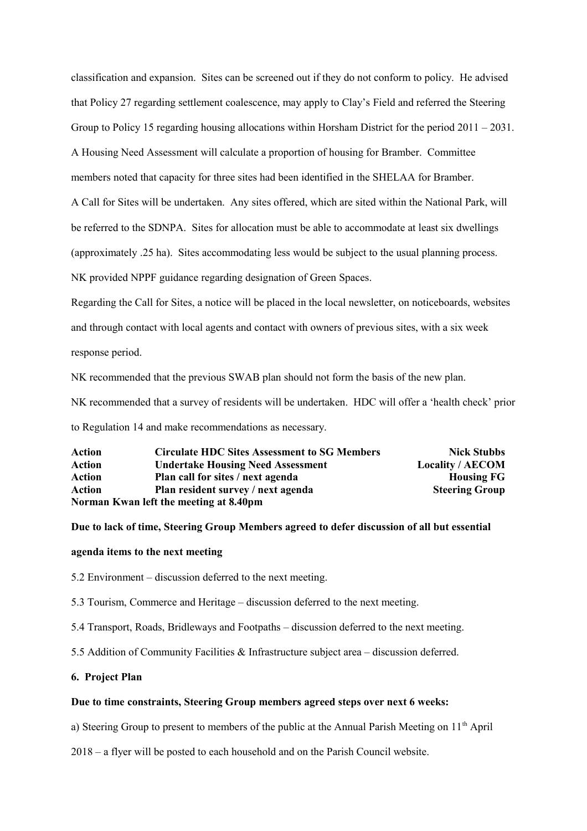classification and expansion. Sites can be screened out if they do not conform to policy. He advised that Policy 27 regarding settlement coalescence, may apply to Clay's Field and referred the Steering Group to Policy 15 regarding housing allocations within Horsham District for the period 2011 – 2031. A Housing Need Assessment will calculate a proportion of housing for Bramber. Committee members noted that capacity for three sites had been identified in the SHELAA for Bramber. A Call for Sites will be undertaken. Any sites offered, which are sited within the National Park, will be referred to the SDNPA. Sites for allocation must be able to accommodate at least six dwellings (approximately .25 ha). Sites accommodating less would be subject to the usual planning process. NK provided NPPF guidance regarding designation of Green Spaces.

Regarding the Call for Sites, a notice will be placed in the local newsletter, on noticeboards, websites and through contact with local agents and contact with owners of previous sites, with a six week response period.

NK recommended that the previous SWAB plan should not form the basis of the new plan.

NK recommended that a survey of residents will be undertaken. HDC will offer a 'health check' prior

to Regulation 14 and make recommendations as necessary.

| Action | <b>Circulate HDC Sites Assessment to SG Members</b> | <b>Nick Stubbs</b>      |
|--------|-----------------------------------------------------|-------------------------|
| Action | <b>Undertake Housing Need Assessment</b>            | <b>Locality / AECOM</b> |
| Action | Plan call for sites / next agenda                   | <b>Housing FG</b>       |
| Action | Plan resident survey / next agenda                  | <b>Steering Group</b>   |
|        | Norman Kwan left the meeting at 8.40pm              |                         |

#### **Due to lack of time, Steering Group Members agreed to defer discussion of all but essential**

#### **agenda items to the next meeting**

5.2 Environment – discussion deferred to the next meeting.

5.3 Tourism, Commerce and Heritage – discussion deferred to the next meeting.

5.4 Transport, Roads, Bridleways and Footpaths – discussion deferred to the next meeting.

5.5 Addition of Community Facilities & Infrastructure subject area – discussion deferred.

### **6. Project Plan**

#### **Due to time constraints, Steering Group members agreed steps over next 6 weeks:**

a) Steering Group to present to members of the public at the Annual Parish Meeting on  $11<sup>th</sup>$  April

2018 – a flyer will be posted to each household and on the Parish Council website.